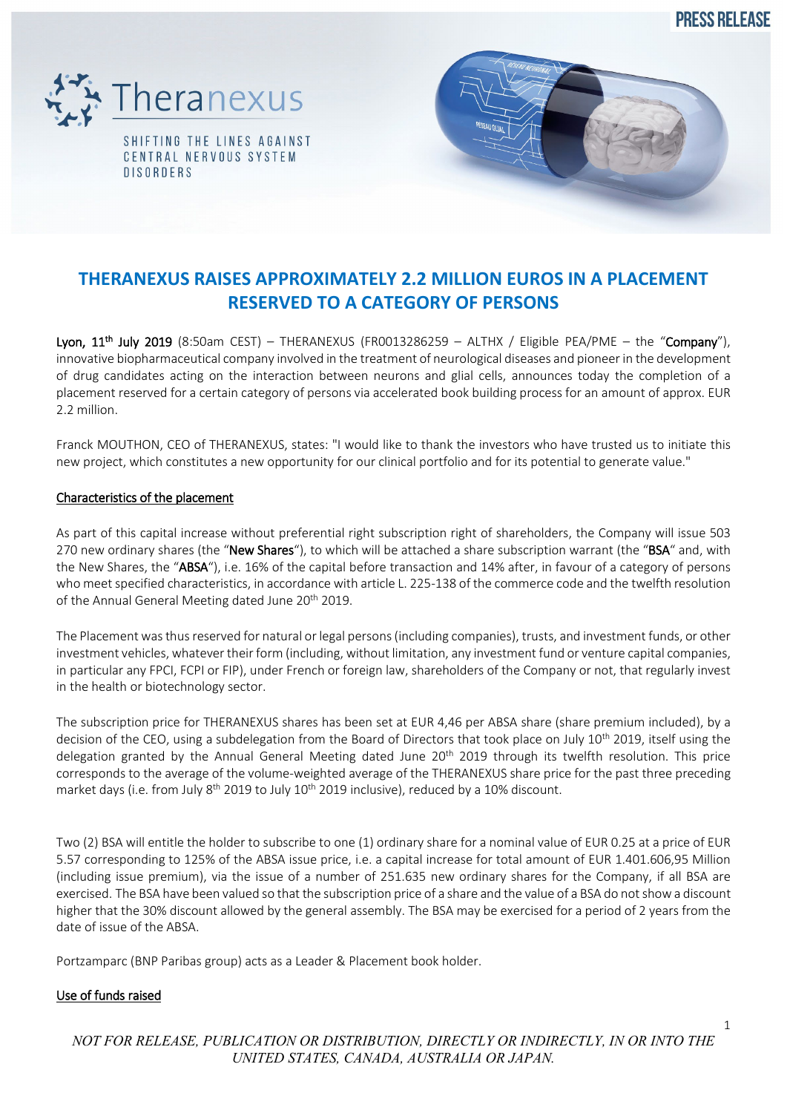**PRESS RELEASE** 





# **THERANEXUS RAISES APPROXIMATELY 2.2 MILLION EUROS IN A PLACEMENT RESERVED TO A CATEGORY OF PERSONS**

Lyon,  $11^{th}$  July 2019 (8:50am CEST) – THERANEXUS (FR0013286259 – ALTHX / Eligible PEA/PME – the "Company"), innovative biopharmaceutical company involved in the treatment of neurological diseases and pioneer in the development of drug candidates acting on the interaction between neurons and glial cells, announces today the completion of a placement reserved for a certain category of persons via accelerated book building process for an amount of approx. EUR 2.2 million.

Franck MOUTHON, CEO of THERANEXUS, states: "I would like to thank the investors who have trusted us to initiate this new project, which constitutes a new opportunity for our clinical portfolio and for its potential to generate value."

# Characteristics of the placement

As part of this capital increase without preferential right subscription right of shareholders, the Company will issue 503 270 new ordinary shares (the "New Shares"), to which will be attached a share subscription warrant (the "BSA" and, with the New Shares, the "ABSA"), i.e. 16% of the capital before transaction and 14% after, in favour of a category of persons who meet specified characteristics, in accordance with article L. 225-138 of the commerce code and the twelfth resolution of the Annual General Meeting dated June 20<sup>th</sup> 2019.

The Placement was thus reserved for natural or legal persons(including companies), trusts, and investment funds, or other investment vehicles, whatever their form (including, without limitation, any investment fund or venture capital companies, in particular any FPCI, FCPI or FIP), under French or foreign law, shareholders of the Company or not, that regularly invest in the health or biotechnology sector.

The subscription price for THERANEXUS shares has been set at EUR 4,46 per ABSA share (share premium included), by a decision of the CEO, using a subdelegation from the Board of Directors that took place on July 10<sup>th</sup> 2019, itself using the delegation granted by the Annual General Meeting dated June 20<sup>th</sup> 2019 through its twelfth resolution. This price corresponds to the average of the volume-weighted average of the THERANEXUS share price for the past three preceding market days (i.e. from July 8<sup>th</sup> 2019 to July 10<sup>th</sup> 2019 inclusive), reduced by a 10% discount.

Two (2) BSA will entitle the holder to subscribe to one (1) ordinary share for a nominal value of EUR 0.25 at a price of EUR 5.57 corresponding to 125% of the ABSA issue price, i.e. a capital increase for total amount of EUR 1.401.606,95 Million (including issue premium), via the issue of a number of 251.635 new ordinary shares for the Company, if all BSA are exercised. The BSA have been valued so that the subscription price of a share and the value of a BSA do not show a discount higher that the 30% discount allowed by the general assembly. The BSA may be exercised for a period of 2 years from the date of issue of the ABSA.

Portzamparc (BNP Paribas group) acts as a Leader & Placement book holder.

# Use of funds raised

*NOT FOR RELEASE, PUBLICATION OR DISTRIBUTION, DIRECTLY OR INDIRECTLY, IN OR INTO THE UNITED STATES, CANADA, AUSTRALIA OR JAPAN.*

1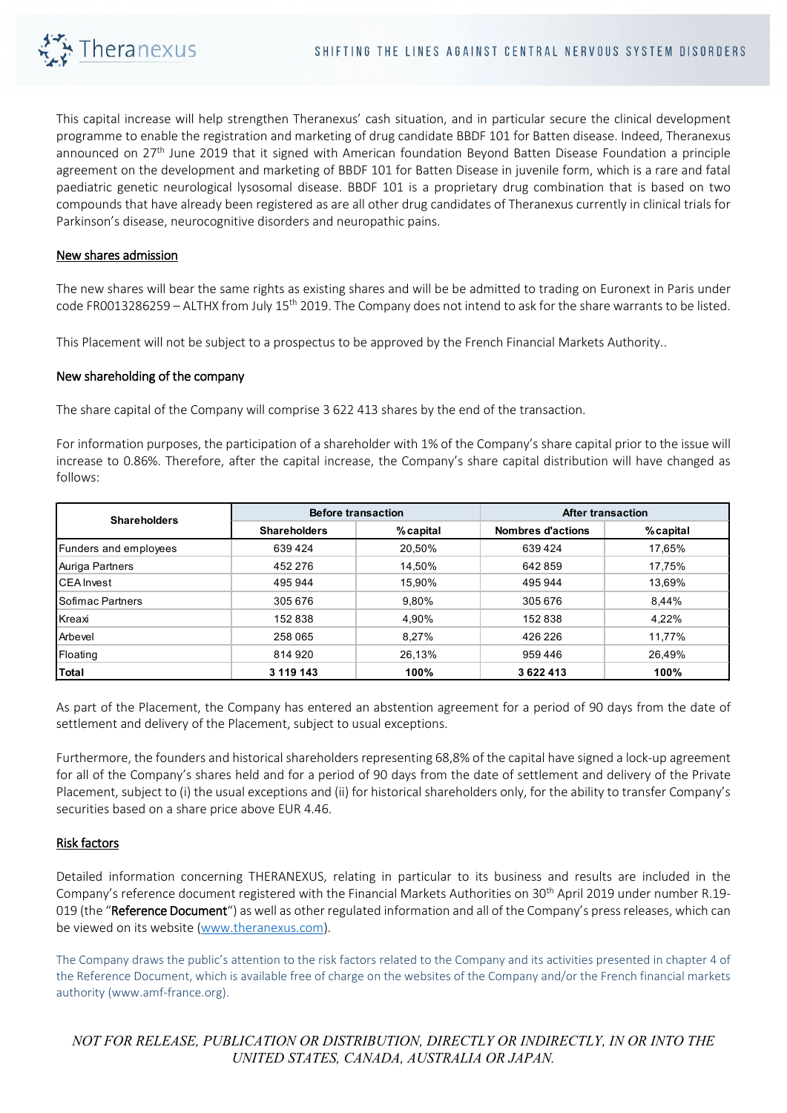

This capital increase will help strengthen Theranexus' cash situation, and in particular secure the clinical development programme to enable the registration and marketing of drug candidate BBDF 101 for Batten disease. Indeed, Theranexus announced on 27<sup>th</sup> [June 2019 that it signed with American foundation B](https://www.theranexus.com/images/pdf/Theranexus_CP_Accord_de_principe_BBDF_VF.pdf)eyond Batten Disease Foundation a principle agreement on the development and marketing of BBDF 101 for Batten Disease in juvenile form, which is a rare and fatal paediatric genetic neurological lysosomal disease. BBDF 101 is a proprietary drug combination that is based on two compounds that have already been registered as are all other drug candidates of Theranexus currently in clinical trials for Parkinson's disease, neurocognitive disorders and neuropathic pains.

#### New shares admission

The new shares will bear the same rights as existing shares and will be be admitted to trading on Euronext in Paris under code FR0013286259 – ALTHX from July 15<sup>th</sup> 2019. The Company does not intend to ask for the share warrants to be listed.

This Placement will not be subject to a prospectus to be approved by the French Financial Markets Authority..

#### New shareholding of the company

The share capital of the Company will comprise 3 622 413 shares by the end of the transaction.

For information purposes, the participation of a shareholder with 1% of the Company's share capital prior to the issue will increase to 0.86%. Therefore, after the capital increase, the Company's share capital distribution will have changed as follows:

| <b>Shareholders</b>   | <b>Before transaction</b> |           | <b>After transaction</b> |           |
|-----------------------|---------------------------|-----------|--------------------------|-----------|
|                       | <b>Shareholders</b>       | % capital | Nombres d'actions        | % capital |
| Funders and employees | 639 424                   | 20,50%    | 639424                   | 17,65%    |
| Auriga Partners       | 452 276                   | 14,50%    | 642859                   | 17,75%    |
| <b>CEA</b> Invest     | 495 944                   | 15,90%    | 495 944                  | 13,69%    |
| l Sofimac Partners    | 305 676                   | 9,80%     | 305 676                  | 8.44%     |
| Kreaxi                | 152838                    | 4,90%     | 152838                   | 4,22%     |
| Arbevel               | 258 065                   | 8.27%     | 426 226                  | 11,77%    |
| Floating              | 814 920                   | 26,13%    | 959 446                  | 26,49%    |
| <b>Total</b>          | 3 119 143                 | 100%      | 3622413                  | 100%      |

As part of the Placement, the Company has entered an abstention agreement for a period of 90 days from the date of settlement and delivery of the Placement, subject to usual exceptions.

Furthermore, the founders and historical shareholders representing 68,8% of the capital have signed a lock-up agreement for all of the Company's shares held and for a period of 90 days from the date of settlement and delivery of the Private Placement, subject to (i) the usual exceptions and (ii) for historical shareholders only, for the ability to transfer Company's securities based on a share price above EUR 4.46.

## Risk factors

Detailed information concerning THERANEXUS, relating in particular to its business and results are included in the Company's reference document registered with the Financial Markets Authorities on 30th April 2019 under number R.19- 019 (the "Reference Document") as well as other regulated information and all of the Company's press releases, which can be viewed on its website [\(www.theranexus.com\)](http://www.theranexus.com/).

The Company draws the public's attention to the risk factors related to the Company and its activities presented in chapter 4 of the Reference Document, which is available free of charge on the websites of the Company and/or the French financial markets authority (www.amf-france.org).

*NOT FOR RELEASE, PUBLICATION OR DISTRIBUTION, DIRECTLY OR INDIRECTLY, IN OR INTO THE UNITED STATES, CANADA, AUSTRALIA OR JAPAN.*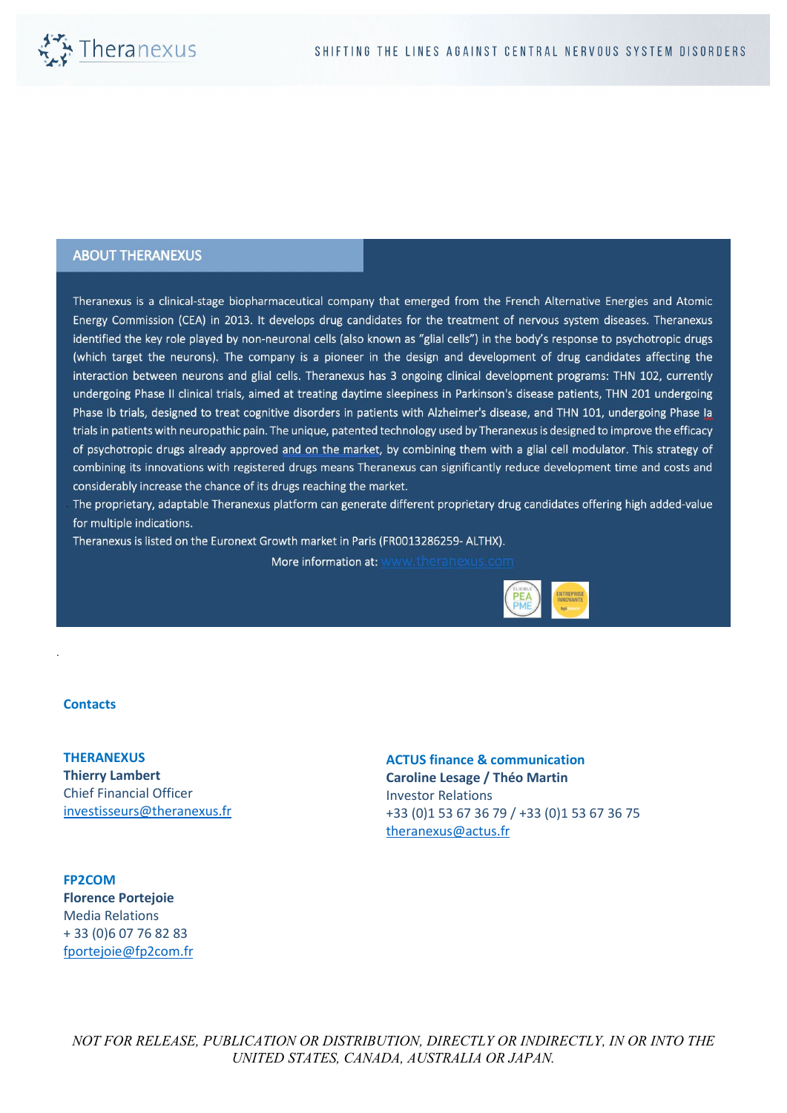

## **ABOUT THERANEXUS**

Theranexus is a clinical-stage biopharmaceutical company that emerged from the French Alternative Energies and Atomic Energy Commission (CEA) in 2013. It develops drug candidates for the treatment of nervous system diseases. Theranexus identified the key role played by non-neuronal cells (also known as "glial cells") in the body's response to psychotropic drugs (which target the neurons). The company is a pioneer in the design and development of drug candidates affecting the interaction between neurons and glial cells. Theranexus has 3 ongoing clinical development programs: THN 102, currently undergoing Phase II clinical trials, aimed at treating daytime sleepiness in Parkinson's disease patients, THN 201 undergoing Phase Ib trials, designed to treat cognitive disorders in patients with Alzheimer's disease, and THN 101, undergoing Phase Ia trials in patients with neuropathic pain. The unique, patented technology used by Theranexus is designed to improve the efficacy of psychotropic drugs already approved and on the market, by combining them with a glial cell modulator. This strategy of combining its innovations with registered drugs means Theranexus can significantly reduce development time and costs and considerably increase the chance of its drugs reaching the market.

The proprietary, adaptable Theranexus platform can generate different proprietary drug candidates offering high added-value for multiple indications.

Theranexus is listed on the Euronext Growth market in Paris (FR0013286259-ALTHX).

More information at: www.theranexus.com



#### **Contacts**

.

**THERANEXUS Thierry Lambert** Chief Financial Officer [investisseurs@theranexus.fr](mailto:investisseurs@theranexus.fr)

**ACTUS finance & communication Caroline Lesage / Théo Martin** Investor Relations +33 (0)1 53 67 36 79 / +33 (0)1 53 67 36 75 [theranexus@actus.fr](mailto:theranexus@actus.fr)

**FP2COM Florence Portejoie** Media Relations + 33 (0)6 07 76 82 83 [fportejoie@fp2com.fr](mailto:fportejoie@fp2com.fr)

*NOT FOR RELEASE, PUBLICATION OR DISTRIBUTION, DIRECTLY OR INDIRECTLY, IN OR INTO THE UNITED STATES, CANADA, AUSTRALIA OR JAPAN.*